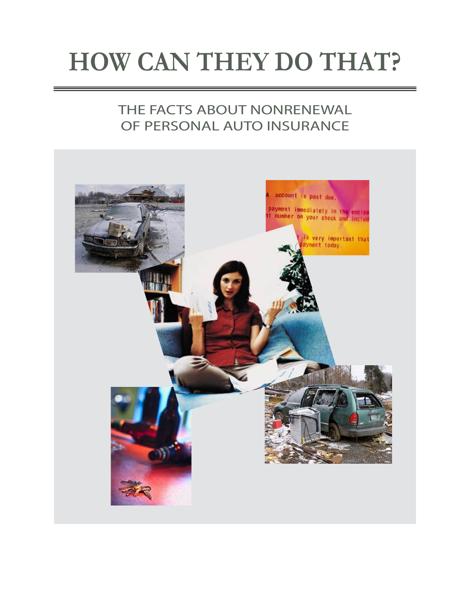# **HOW CAN THEY DO THAT?**

## THE FACTS ABOUT NONRENEWAL OF PERSONAL AUTO INSURANCE

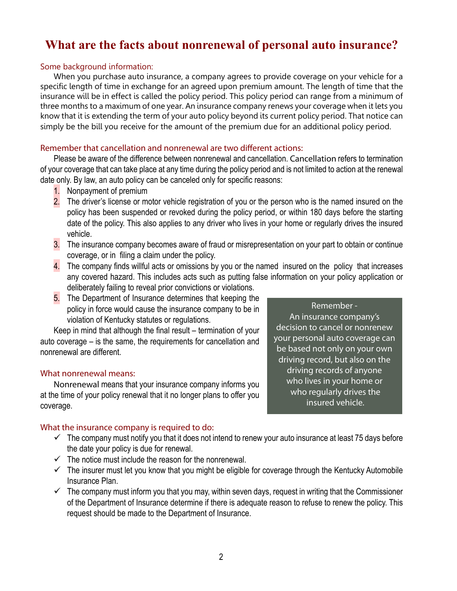### **What are the facts about nonrenewal of personal auto insurance?**

#### Some background information:

When you purchase auto insurance, a company agrees to provide coverage on your vehicle for a specific length of time in exchange for an agreed upon premium amount. The length of time that the insurance will be in effect is called the policy period. This policy period can range from a minimum of three months to a maximum of one year. An insurance company renews your coverage when it lets you know that it is extending the term of your auto policy beyond its current policy period. That notice can simply be the bill you receive for the amount of the premium due for an additional policy period.

#### Remember that cancellation and nonrenewal are two different actions:

Please be aware of the difference between nonrenewal and cancellation. Cancellation refers to termination of your coverage that can take place at any time during the policy period and is not limited to action at the renewal date only. By law, an auto policy can be canceled only for specific reasons:

- 1. Nonpayment of premium
- 2. The driver's license or motor vehicle registration of you or the person who is the named insured on the policy has been suspended or revoked during the policy period, or within 180 days before the starting date of the policy. This also applies to any driver who lives in your home or regularly drives the insured vehicle.
- 3. The insurance company becomes aware of fraud or misrepresentation on your part to obtain or continue coverage, or in filing a claim under the policy.
- 4. The company finds willful acts or omissions by you or the named insured on the policy that increases any covered hazard. This includes acts such as putting false information on your policy application or deliberately failing to reveal prior convictions or violations.
- 5. The Department of Insurance determines that keeping the policy in force would cause the insurance company to be in violation of Kentucky statutes or regulations.

Keep in mind that although the final result – termination of your auto coverage – is the same, the requirements for cancellation and nonrenewal are different.

#### What nonrenewal means:

Nonrenewal means that your insurance company informs you at the time of your policy renewal that it no longer plans to offer you coverage.

#### What the insurance company is required to do:

- $\checkmark$  The company must notify you that it does not intend to renew your auto insurance at least 75 days before the date your policy is due for renewal.
- $\checkmark$  The notice must include the reason for the nonrenewal.
- $\checkmark$  The insurer must let you know that you might be eligible for coverage through the Kentucky Automobile Insurance Plan.
- $\checkmark$  The company must inform you that you may, within seven days, request in writing that the Commissioner of the Department of Insurance determine if there is adequate reason to refuse to renew the policy. This request should be made to the Department of Insurance.

Remember - An insurance company's decision to cancel or nonrenew your personal auto coverage can be based not only on your own driving record, but also on the driving records of anyone who lives in your home or who regularly drives the insured vehicle.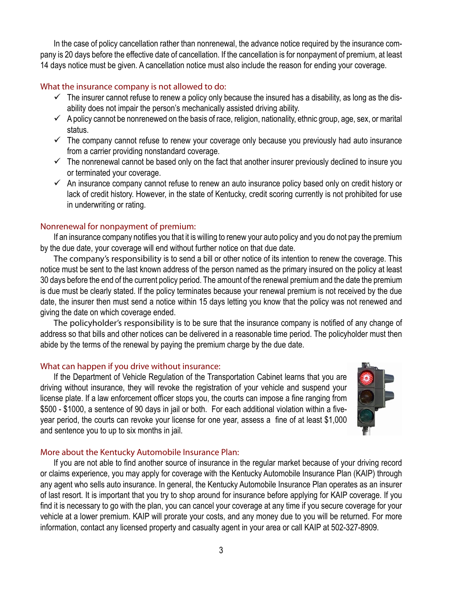In the case of policy cancellation rather than nonrenewal, the advance notice required by the insurance company is 20 days before the effective date of cancellation. If the cancellation is for nonpayment of premium, at least 14 days notice must be given. A cancellation notice must also include the reason for ending your coverage.

#### What the insurance company is not allowed to do:

- $\checkmark$  The insurer cannot refuse to renew a policy only because the insured has a disability, as long as the disability does not impair the person's mechanically assisted driving ability.
- $\checkmark$  A policy cannot be nonrenewed on the basis of race, religion, nationality, ethnic group, age, sex, or marital status.
- $\checkmark$  The company cannot refuse to renew your coverage only because you previously had auto insurance from a carrier providing nonstandard coverage.
- $\checkmark$  The nonrenewal cannot be based only on the fact that another insurer previously declined to insure you or terminated your coverage.
- $\checkmark$  An insurance company cannot refuse to renew an auto insurance policy based only on credit history or lack of credit history. However, in the state of Kentucky, credit scoring currently is not prohibited for use in underwriting or rating.

#### Nonrenewal for nonpayment of premium:

If an insurance company notifies you that it is willing to renew your auto policy and you do not pay the premium by the due date, your coverage will end without further notice on that due date.

The company's responsibility is to send a bill or other notice of its intention to renew the coverage. This notice must be sent to the last known address of the person named as the primary insured on the policy at least 30 days before the end of the current policy period. The amount of the renewal premium and the date the premium is due must be clearly stated. If the policy terminates because your renewal premium is not received by the due date, the insurer then must send a notice within 15 days letting you know that the policy was not renewed and giving the date on which coverage ended.

The policyholder's responsibility is to be sure that the insurance company is notified of any change of address so that bills and other notices can be delivered in a reasonable time period. The policyholder must then abide by the terms of the renewal by paying the premium charge by the due date.

#### What can happen if you drive without insurance:

If the Department of Vehicle Regulation of the Transportation Cabinet learns that you are driving without insurance, they will revoke the registration of your vehicle and suspend your license plate. If a law enforcement officer stops you, the courts can impose a fine ranging from \$500 - \$1000, a sentence of 90 days in jail or both. For each additional violation within a fiveyear period, the courts can revoke your license for one year, assess a fine of at least \$1,000 and sentence you to up to six months in jail.



#### More about the Kentucky Automobile Insurance Plan:

If you are not able to find another source of insurance in the regular market because of your driving record or claims experience, you may apply for coverage with the Kentucky Automobile Insurance Plan (KAIP) through any agent who sells auto insurance. In general, the Kentucky Automobile Insurance Plan operates as an insurer of last resort. It is important that you try to shop around for insurance before applying for KAIP coverage. If you find it is necessary to go with the plan, you can cancel your coverage at any time if you secure coverage for your vehicle at a lower premium. KAIP will prorate your costs, and any money due to you will be returned. For more information, contact any licensed property and casualty agent in your area or call KAIP at 502-327-8909.